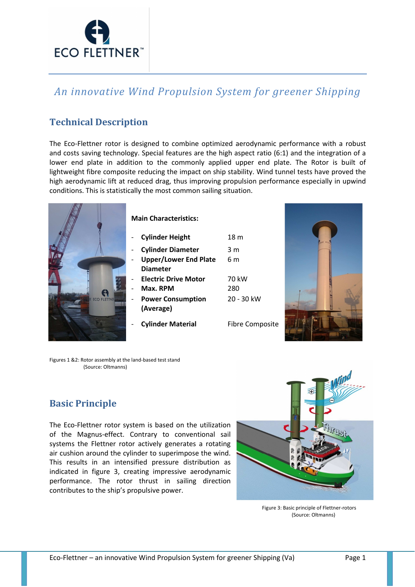

# *An innovative Wind Propulsion System for greener Shipping*

# **Technical Description**

The Eco-Flettner rotor is designed to combine optimized aerodynamic performance with a robust and costs saving technology. Special features are the high aspect ratio (6:1) and the integration of a lower end plate in addition to the commonly applied upper end plate. The Rotor is built of lightweight fibre composite reducing the impact on ship stability. Wind tunnel tests have proved the high aerodynamic lift at reduced drag, thus improving propulsion performance especially in upwind conditions. This is statistically the most common sailing situation.



#### **Main Characteristics:**

- **Cylinder Height** 18 m
- **Cylinder Diameter** 3 m
- **Upper/Lower End Plate Diameter**
- **Electric Drive Motor** 70 kW
- **Max. RPM** 280
- **Power Consumption (Average)**
- **Cylinder Material** Fibre Composite

20 - 30 kW

6 m



Figures 1 &2: Rotor assembly at the land-based test stand (Source: Oltmanns)

# **Basic Principle**

The Eco-Flettner rotor system is based on the utilization of the Magnus-effect. Contrary to conventional sail systems the Flettner rotor actively generates a rotating air cushion around the cylinder to superimpose the wind. This results in an intensified pressure distribution as indicated in figure 3, creating impressive aerodynamic performance. The rotor thrust in sailing direction contributes to the ship's propulsive power.



Figure 3: Basic principle of Flettner-rotors (Source: Oltmanns)